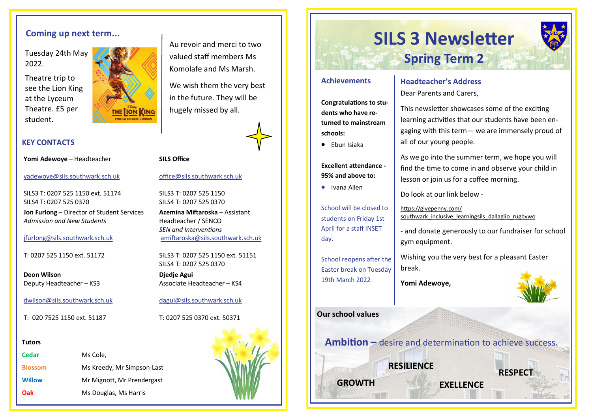Tuesday 24th May 2022.

Theatre trip to see the Lion King at the Lyceum Theatre. £5 per student.



### **KEY CONTACTS**

**Yomi Adewoye** – Headteacher

[yadewoye@sils.southwark.sch.uk](mailto:yadewoye@sils.southwark.sch.uk)

SILS3 T: 0207 525 1150 ext. 51174 SILS4 T: 0207 525 0370

**Jon Furlong** – Director of Student Services *Admission and New Students*

#### [jfurlong@sils.southwark.sch.uk](mailto:jfurlong@sils.southwark.sch.uk)

T: 0207 525 1150 ext. 51172

**Deon Wilson** Deputy Headteacher – KS3

[dwilson@sils.southwark.sch.uk](mailto:dwilson@sils.southwark.sch.uk)

T: 020 7525 1150 ext. 51187

#### **Tutors**

| Cedar          | Ms Cole,                   |
|----------------|----------------------------|
| <b>Blossom</b> | Ms Kreedy, Mr Simpson-Last |
| <b>Willow</b>  | Mr Mignott, Mr Prendergast |
| Oak            | Ms Douglas, Ms Harris      |



Au revoir and merci to two valued staff members Ms Komolafe and Ms Marsh.

We wish them the very best in the future. They will be hugely missed by all.

#### **SILS Office**

[office@sils.southwark.sch.uk](mailto:office@sils.southwark.sch.uk)

SILS3 T: 0207 525 1150 SILS4 T: 0207 525 0370

**Azemina Miftaroska** – Assistant Headteacher / SENCO *SEN and Interventions* [amiftaroska@sils.southwark.sch.uk](mailto:amiftaroska@sils.southwark.sch.uk)

SILS3 T: 0207 525 1150 ext. 51151 SILS4 T: 0207 525 0370

**Djedje Agui** Associate Headteacher – KS4

[dagui@sils.southwark.sch.uk](mailto:dagui@sils.southwark.sch.uk)

T: 0207 525 0370 ext. 50371



# **Coming up next term...**<br> **SILS 3 Newsletter Spring Term 2**

#### **Achievements**

**Congratulations to students who have returned to mainstream schools:** 

• Ebun Isiaka

**Excellent attendance - 95% and above to:** 

• Ivana Allen

School will be closed to students on Friday 1st April for a staff INSET day.

School reopens after the Easter break on Tuesday 19th March 2022.

### **Our school values**

**Ambition –** desire and determination to achieve success**.** 

**RESILIENCE** 

**Headteacher's Address**  Dear Parents and Carers,

This newsletter showcases some of the exciting learning activities that our students have been engaging with this term— we are immensely proud of all of our young people.

As we go into the summer term, we hope you will find the time to come in and observe your child in lesson or join us for a coffee morning.

Do look at our link below -

https://givepenny.com/ southwark inclusive learningsils dallaglio rugbywo

- and donate generously to our fundraiser for school gym equipment.

Wishing you the very best for a pleasant Easter break.

**Yomi Adewoye,** 

**RESPECT**